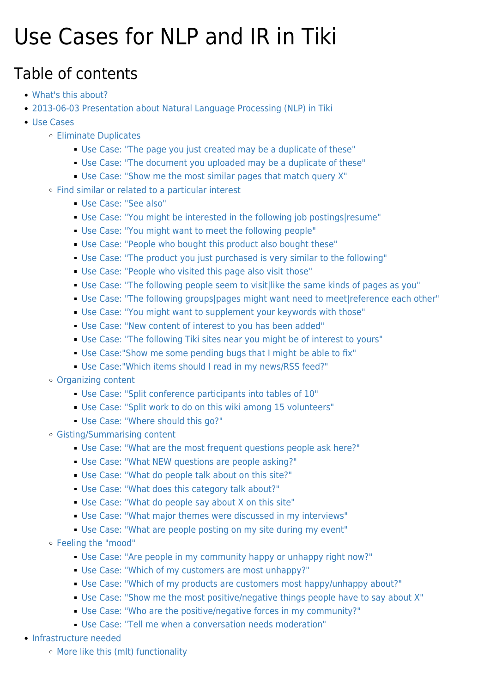## Use Cases for NLP and IR in Tiki

#### Table of contents

- [What's this about?](#page--1-0)
- [2013-06-03 Presentation about Natural Language Processing \(NLP\) in Tiki](#page--1-0)
- [Use Cases](#page--1-0)
	- [Eliminate Duplicates](#page--1-0)
		- [Use Case: "The page you just created may be a duplicate of these"](#page--1-0)
		- [Use Case: "The document you uploaded may be a duplicate of these"](#page--1-0)
		- [Use Case: "Show me the most similar pages that match query X"](#page--1-0)
	- [Find similar or related to a particular interest](#page--1-0)
		- [Use Case: "See also"](#page--1-0)
		- [Use Case: "You might be interested in the following job postings|resume"](#page--1-0)
		- [Use Case: "You might want to meet the following people"](#page--1-0)
		- [Use Case: "People who bought this product also bought these"](#page--1-0)
		- [Use Case: "The product you just purchased is very similar to the following"](#page--1-0)
		- [Use Case: "People who visited this page also visit those"](#page--1-0)
		- [Use Case: "The following people seem to visit|like the same kinds of pages as you"](#page--1-0)
		- [Use Case: "The following groups|pages might want need to meet|reference each other"](#page--1-0)
		- [Use Case: "You might want to supplement your keywords with those"](#page--1-0)
		- [Use Case: "New content of interest to you has been added"](#page--1-0)
		- [Use Case: "The following Tiki sites near you might be of interest to yours"](#page--1-0)
		- [Use Case:"Show me some pending bugs that I might be able to fix"](#page--1-0)
		- [Use Case:"Which items should I read in my news/RSS feed?"](#page--1-0)
	- [Organizing content](#page--1-0)
		- [Use Case: "Split conference participants into tables of 10"](#page--1-0)
		- [Use Case: "Split work to do on this wiki among 15 volunteers"](#page--1-0)
		- [Use Case: "Where should this go?"](#page--1-0)
	- [Gisting/Summarising content](#page--1-0)
		- [Use Case: "What are the most frequent questions people ask here?"](#page--1-0)
		- [Use Case: "What NEW questions are people asking?"](#page--1-0)
		- [Use Case: "What do people talk about on this site?"](#page--1-0)
		- [Use Case: "What does this category talk about?"](#page--1-0)
		- [Use Case: "What do people say about X on this site"](#page--1-0)
		- [Use Case: "What major themes were discussed in my interviews"](#page--1-0)
		- [Use Case: "What are people posting on my site during my event"](#page--1-0)
	- [Feeling the "mood"](#page--1-0)
		- [Use Case: "Are people in my community happy or unhappy right now?"](#page--1-0)
		- [Use Case: "Which of my customers are most unhappy?"](#page--1-0)
		- [Use Case: "Which of my products are customers most happy/unhappy about?"](#page--1-0)
		- [Use Case: "Show me the most positive/negative things people have to say about X"](#page--1-0)
		- [Use Case: "Who are the positive/negative forces in my community?"](#page--1-0)
		- [Use Case: "Tell me when a conversation needs moderation"](#page--1-0)
- [Infrastructure needed](#page--1-0)
	- [More like this \(mlt\) functionality](#page--1-0)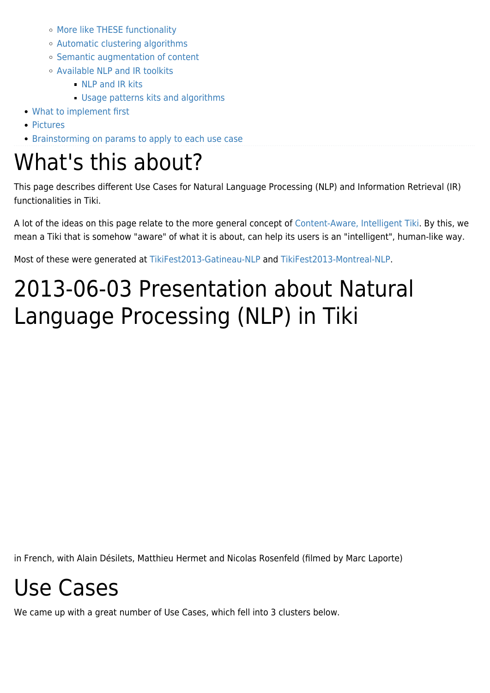- [More like THESE functionality](#page--1-0)
- [Automatic clustering algorithms](#page--1-0)
- o [Semantic augmentation of content](#page--1-0)
- [Available NLP and IR toolkits](#page--1-0)
	- **NLP** and IR kits
	- [Usage patterns kits and algorithms](#page--1-0)
- [What to implement first](#page--1-0)
- [Pictures](#page--1-0)
- [Brainstorming on params to apply to each use case](#page--1-0)

## What's this about?

This page describes different Use Cases for Natural Language Processing (NLP) and Information Retrieval (IR) functionalities in Tiki.

A lot of the ideas on this page relate to the more general concept of [Content-Aware, Intelligent Tiki](https://tiki.org/Content-Aware,-Intelligent-Tiki). By this, we mean a Tiki that is somehow "aware" of what it is about, can help its users is an "intelligent", human-like way.

Most of these were generated at [TikiFest2013-Gatineau-NLP](https://tiki.org/TikiFest2013-Gatineau-NLP) and [TikiFest2013-Montreal-NLP](https://tiki.org/TikiFest2013-Montreal-NLP).

## 2013-06-03 Presentation about Natural Language Processing (NLP) in Tiki

in French, with Alain Désilets, Matthieu Hermet and Nicolas Rosenfeld (filmed by Marc Laporte)

## Use Cases

We came up with a great number of Use Cases, which fell into 3 clusters below.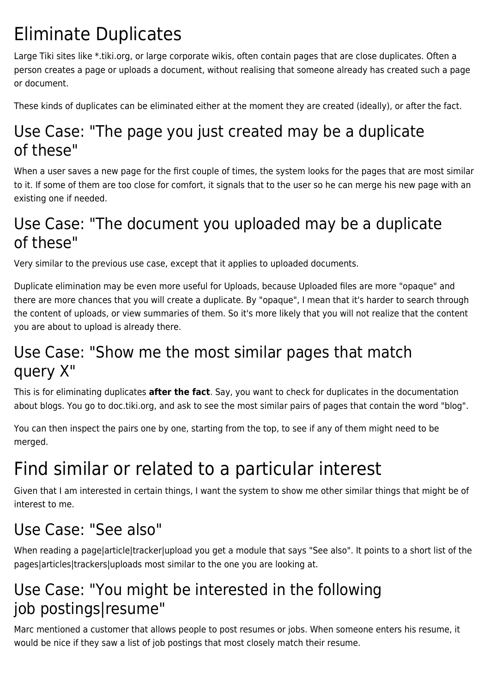### Eliminate Duplicates

Large Tiki sites like \*.tiki.org, or large corporate wikis, often contain pages that are close duplicates. Often a person creates a page or uploads a document, without realising that someone already has created such a page or document.

These kinds of duplicates can be eliminated either at the moment they are created (ideally), or after the fact.

#### Use Case: "The page you just created may be a duplicate of these"

When a user saves a new page for the first couple of times, the system looks for the pages that are most similar to it. If some of them are too close for comfort, it signals that to the user so he can merge his new page with an existing one if needed.

#### Use Case: "The document you uploaded may be a duplicate of these"

Very similar to the previous use case, except that it applies to uploaded documents.

Duplicate elimination may be even more useful for Uploads, because Uploaded files are more "opaque" and there are more chances that you will create a duplicate. By "opaque", I mean that it's harder to search through the content of uploads, or view summaries of them. So it's more likely that you will not realize that the content you are about to upload is already there.

#### Use Case: "Show me the most similar pages that match query X"

This is for eliminating duplicates **after the fact**. Say, you want to check for duplicates in the documentation about blogs. You go to doc.tiki.org, and ask to see the most similar pairs of pages that contain the word "blog".

You can then inspect the pairs one by one, starting from the top, to see if any of them might need to be merged.

## Find similar or related to a particular interest

Given that I am interested in certain things, I want the system to show me other similar things that might be of interest to me.

#### Use Case: "See also"

When reading a page|article|tracker|upload you get a module that says "See also". It points to a short list of the pages|articles|trackers|uploads most similar to the one you are looking at.

#### Use Case: "You might be interested in the following job postings|resume"

Marc mentioned a customer that allows people to post resumes or jobs. When someone enters his resume, it would be nice if they saw a list of job postings that most closely match their resume.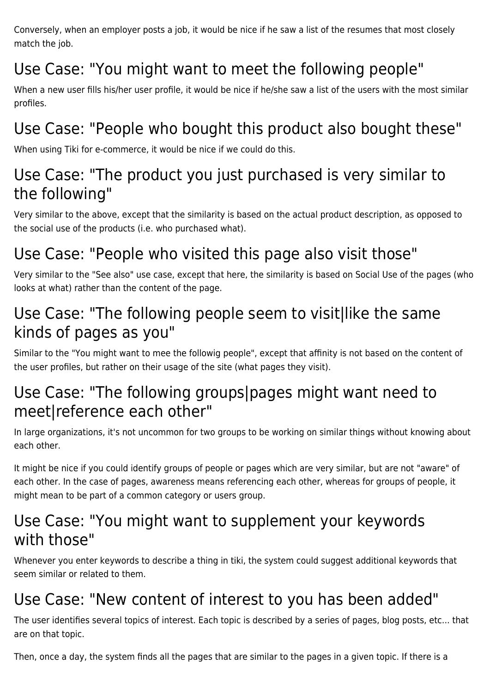Conversely, when an employer posts a job, it would be nice if he saw a list of the resumes that most closely match the job.

### Use Case: "You might want to meet the following people"

When a new user fills his/her user profile, it would be nice if he/she saw a list of the users with the most similar profiles.

#### Use Case: "People who bought this product also bought these"

When using Tiki for e-commerce, it would be nice if we could do this.

#### Use Case: "The product you just purchased is very similar to the following"

Very similar to the above, except that the similarity is based on the actual product description, as opposed to the social use of the products (i.e. who purchased what).

#### Use Case: "People who visited this page also visit those"

Very similar to the "See also" use case, except that here, the similarity is based on Social Use of the pages (who looks at what) rather than the content of the page.

#### Use Case: "The following people seem to visit|like the same kinds of pages as you"

Similar to the "You might want to mee the followig people", except that affinity is not based on the content of the user profiles, but rather on their usage of the site (what pages they visit).

#### Use Case: "The following groups|pages might want need to meet|reference each other"

In large organizations, it's not uncommon for two groups to be working on similar things without knowing about each other.

It might be nice if you could identify groups of people or pages which are very similar, but are not "aware" of each other. In the case of pages, awareness means referencing each other, whereas for groups of people, it might mean to be part of a common category or users group.

#### Use Case: "You might want to supplement your keywords with those"

Whenever you enter keywords to describe a thing in tiki, the system could suggest additional keywords that seem similar or related to them.

#### Use Case: "New content of interest to you has been added"

The user identifies several topics of interest. Each topic is described by a series of pages, blog posts, etc... that are on that topic.

Then, once a day, the system finds all the pages that are similar to the pages in a given topic. If there is a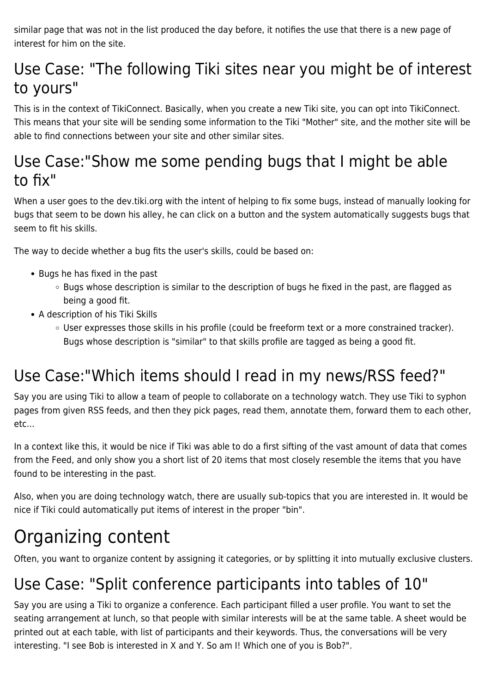similar page that was not in the list produced the day before, it notifies the use that there is a new page of interest for him on the site.

#### Use Case: "The following Tiki sites near you might be of interest to yours"

This is in the context of TikiConnect. Basically, when you create a new Tiki site, you can opt into TikiConnect. This means that your site will be sending some information to the Tiki "Mother" site, and the mother site will be able to find connections between your site and other similar sites.

#### Use Case:"Show me some pending bugs that I might be able to fix"

When a user goes to the dev.tiki.org with the intent of helping to fix some bugs, instead of manually looking for bugs that seem to be down his alley, he can click on a button and the system automatically suggests bugs that seem to fit his skills.

The way to decide whether a bug fits the user's skills, could be based on:

- Bugs he has fixed in the past
	- Bugs whose description is similar to the description of bugs he fixed in the past, are flagged as being a good fit.
- A description of his Tiki Skills
	- User expresses those skills in his profile (could be freeform text or a more constrained tracker). Bugs whose description is "similar" to that skills profile are tagged as being a good fit.

#### Use Case:"Which items should I read in my news/RSS feed?"

Say you are using Tiki to allow a team of people to collaborate on a technology watch. They use Tiki to syphon pages from given RSS feeds, and then they pick pages, read them, annotate them, forward them to each other, etc...

In a context like this, it would be nice if Tiki was able to do a first sifting of the vast amount of data that comes from the Feed, and only show you a short list of 20 items that most closely resemble the items that you have found to be interesting in the past.

Also, when you are doing technology watch, there are usually sub-topics that you are interested in. It would be nice if Tiki could automatically put items of interest in the proper "bin".

### Organizing content

Often, you want to organize content by assigning it categories, or by splitting it into mutually exclusive clusters.

#### Use Case: "Split conference participants into tables of 10"

Say you are using a Tiki to organize a conference. Each participant filled a user profile. You want to set the seating arrangement at lunch, so that people with similar interests will be at the same table. A sheet would be printed out at each table, with list of participants and their keywords. Thus, the conversations will be very interesting. "I see Bob is interested in X and Y. So am I! Which one of you is Bob?".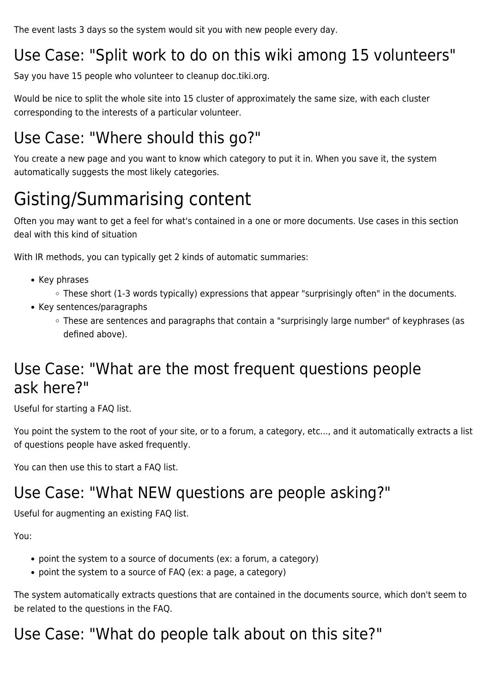The event lasts 3 days so the system would sit you with new people every day.

#### Use Case: "Split work to do on this wiki among 15 volunteers"

Say you have 15 people who volunteer to cleanup doc.tiki.org.

Would be nice to split the whole site into 15 cluster of approximately the same size, with each cluster corresponding to the interests of a particular volunteer.

#### Use Case: "Where should this go?"

You create a new page and you want to know which category to put it in. When you save it, the system automatically suggests the most likely categories.

## Gisting/Summarising content

Often you may want to get a feel for what's contained in a one or more documents. Use cases in this section deal with this kind of situation

With IR methods, you can typically get 2 kinds of automatic summaries:

- Key phrases
	- These short (1-3 words typically) expressions that appear "surprisingly often" in the documents.
- Key sentences/paragraphs
	- These are sentences and paragraphs that contain a "surprisingly large number" of keyphrases (as defined above).

#### Use Case: "What are the most frequent questions people ask here?"

Useful for starting a FAQ list.

You point the system to the root of your site, or to a forum, a category, etc..., and it automatically extracts a list of questions people have asked frequently.

You can then use this to start a FAQ list.

#### Use Case: "What NEW questions are people asking?"

Useful for augmenting an existing FAQ list.

You:

- point the system to a source of documents (ex: a forum, a category)
- point the system to a source of FAQ (ex: a page, a category)

The system automatically extracts questions that are contained in the documents source, which don't seem to be related to the questions in the FAQ.

#### Use Case: "What do people talk about on this site?"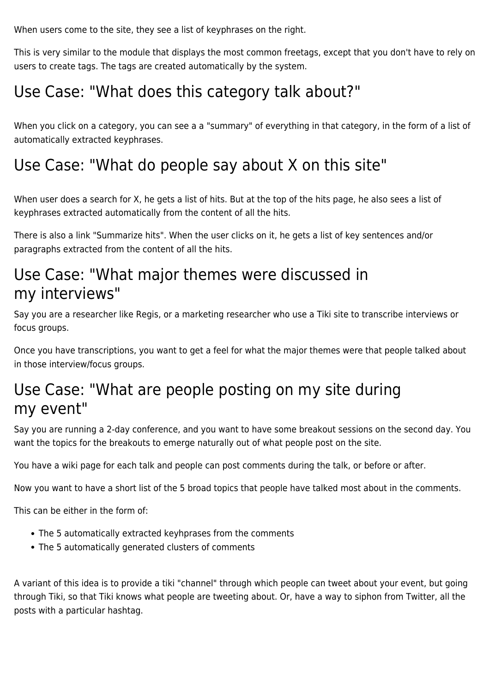When users come to the site, they see a list of keyphrases on the right.

This is very similar to the module that displays the most common freetags, except that you don't have to rely on users to create tags. The tags are created automatically by the system.

#### Use Case: "What does this category talk about?"

When you click on a category, you can see a a "summary" of everything in that category, in the form of a list of automatically extracted keyphrases.

#### Use Case: "What do people say about X on this site"

When user does a search for X, he gets a list of hits. But at the top of the hits page, he also sees a list of keyphrases extracted automatically from the content of all the hits.

There is also a link "Summarize hits". When the user clicks on it, he gets a list of key sentences and/or paragraphs extracted from the content of all the hits.

#### Use Case: "What major themes were discussed in my interviews"

Say you are a researcher like Regis, or a marketing researcher who use a Tiki site to transcribe interviews or focus groups.

Once you have transcriptions, you want to get a feel for what the major themes were that people talked about in those interview/focus groups.

#### Use Case: "What are people posting on my site during my event"

Say you are running a 2-day conference, and you want to have some breakout sessions on the second day. You want the topics for the breakouts to emerge naturally out of what people post on the site.

You have a wiki page for each talk and people can post comments during the talk, or before or after.

Now you want to have a short list of the 5 broad topics that people have talked most about in the comments.

This can be either in the form of:

- The 5 automatically extracted keyhprases from the comments
- The 5 automatically generated clusters of comments

A variant of this idea is to provide a tiki "channel" through which people can tweet about your event, but going through Tiki, so that Tiki knows what people are tweeting about. Or, have a way to siphon from Twitter, all the posts with a particular hashtag.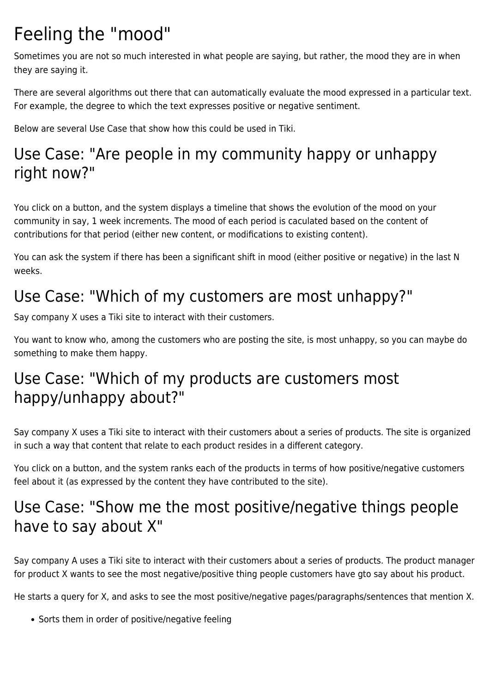### Feeling the "mood"

Sometimes you are not so much interested in what people are saying, but rather, the mood they are in when they are saying it.

There are several algorithms out there that can automatically evaluate the mood expressed in a particular text. For example, the degree to which the text expresses positive or negative sentiment.

Below are several Use Case that show how this could be used in Tiki.

#### Use Case: "Are people in my community happy or unhappy right now?"

You click on a button, and the system displays a timeline that shows the evolution of the mood on your community in say, 1 week increments. The mood of each period is caculated based on the content of contributions for that period (either new content, or modifications to existing content).

You can ask the system if there has been a significant shift in mood (either positive or negative) in the last N weeks.

#### Use Case: "Which of my customers are most unhappy?"

Say company X uses a Tiki site to interact with their customers.

You want to know who, among the customers who are posting the site, is most unhappy, so you can maybe do something to make them happy.

#### Use Case: "Which of my products are customers most happy/unhappy about?"

Say company X uses a Tiki site to interact with their customers about a series of products. The site is organized in such a way that content that relate to each product resides in a different category.

You click on a button, and the system ranks each of the products in terms of how positive/negative customers feel about it (as expressed by the content they have contributed to the site).

#### Use Case: "Show me the most positive/negative things people have to say about X"

Say company A uses a Tiki site to interact with their customers about a series of products. The product manager for product X wants to see the most negative/positive thing people customers have gto say about his product.

He starts a query for X, and asks to see the most positive/negative pages/paragraphs/sentences that mention X.

• Sorts them in order of positive/negative feeling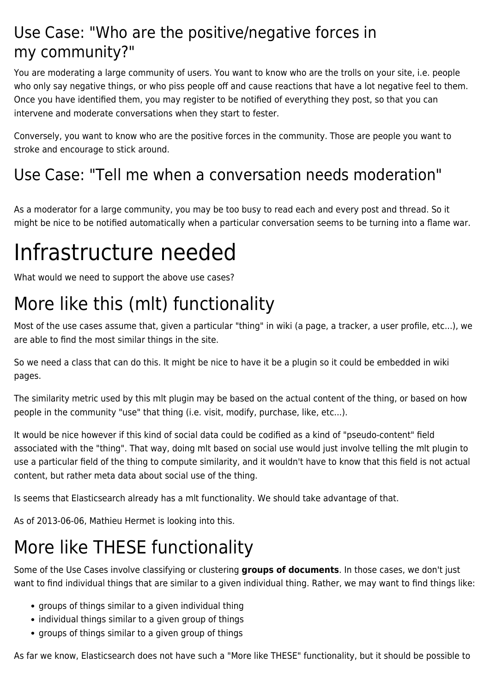#### Use Case: "Who are the positive/negative forces in my community?"

You are moderating a large community of users. You want to know who are the trolls on your site, i.e. people who only say negative things, or who piss people off and cause reactions that have a lot negative feel to them. Once you have identified them, you may register to be notified of everything they post, so that you can intervene and moderate conversations when they start to fester.

Conversely, you want to know who are the positive forces in the community. Those are people you want to stroke and encourage to stick around.

#### Use Case: "Tell me when a conversation needs moderation"

As a moderator for a large community, you may be too busy to read each and every post and thread. So it might be nice to be notified automatically when a particular conversation seems to be turning into a flame war.

## Infrastructure needed

What would we need to support the above use cases?

## More like this (mlt) functionality

Most of the use cases assume that, given a particular "thing" in wiki (a page, a tracker, a user profile, etc...), we are able to find the most similar things in the site.

So we need a class that can do this. It might be nice to have it be a plugin so it could be embedded in wiki pages.

The similarity metric used by this mlt plugin may be based on the actual content of the thing, or based on how people in the community "use" that thing (i.e. visit, modify, purchase, like, etc...).

It would be nice however if this kind of social data could be codified as a kind of "pseudo-content" field associated with the "thing". That way, doing mlt based on social use would just involve telling the mlt plugin to use a particular field of the thing to compute similarity, and it wouldn't have to know that this field is not actual content, but rather meta data about social use of the thing.

Is seems that Elasticsearch already has a mlt functionality. We should take advantage of that.

As of 2013-06-06, Mathieu Hermet is looking into this.

## More like THESE functionality

Some of the Use Cases involve classifying or clustering **groups of documents**. In those cases, we don't just want to find individual things that are similar to a given individual thing. Rather, we may want to find things like:

- groups of things similar to a given individual thing
- individual things similar to a given group of things
- groups of things similar to a given group of things

As far we know, Elasticsearch does not have such a "More like THESE" functionality, but it should be possible to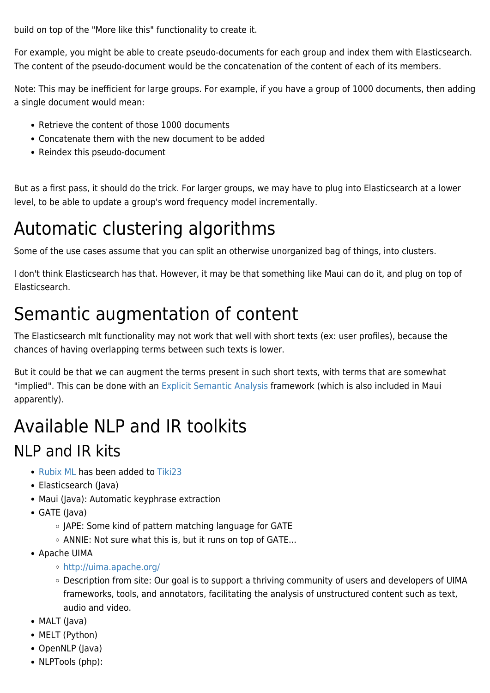build on top of the "More like this" functionality to create it.

For example, you might be able to create pseudo-documents for each group and index them with Elasticsearch. The content of the pseudo-document would be the concatenation of the content of each of its members.

Note: This may be inefficient for large groups. For example, if you have a group of 1000 documents, then adding a single document would mean:

- Retrieve the content of those 1000 documents
- Concatenate them with the new document to be added
- Reindex this pseudo-document

But as a first pass, it should do the trick. For larger groups, we may have to plug into Elasticsearch at a lower level, to be able to update a group's word frequency model incrementally.

## Automatic clustering algorithms

Some of the use cases assume that you can split an otherwise unorganized bag of things, into clusters.

I don't think Elasticsearch has that. However, it may be that something like Maui can do it, and plug on top of Elasticsearch.

### Semantic augmentation of content

The Elasticsearch mlt functionality may not work that well with short texts (ex: user profiles), because the chances of having overlapping terms between such texts is lower.

But it could be that we can augment the terms present in such short texts, with terms that are somewhat "implied". This can be done with an [Explicit Semantic Analysis](http://en.wikipedia.org/wiki/Explicit_semantic_analysis) framework (which is also included in Maui apparently).

## Available NLP and IR toolkits

#### NLP and IR kits

- [Rubix ML](http://dev.tiki.org/Rubix%20ML) has been added to [Tiki23](http://doc.tiki.org/Tiki23)
- Elasticsearch (Java)
- Maui (Java): Automatic keyphrase extraction
- GATE (Java)
	- o JAPE: Some kind of pattern matching language for GATE
	- $\circ$  ANNIE: Not sure what this is, but it runs on top of GATE...
- Apache UIMA
	- <http://uima.apache.org/>
	- Description from site: Our goal is to support a thriving community of users and developers of UIMA frameworks, tools, and annotators, facilitating the analysis of unstructured content such as text, audio and video.
- MALT (Java)
- MELT (Python)
- OpenNLP (Java)
- NLPTools (php):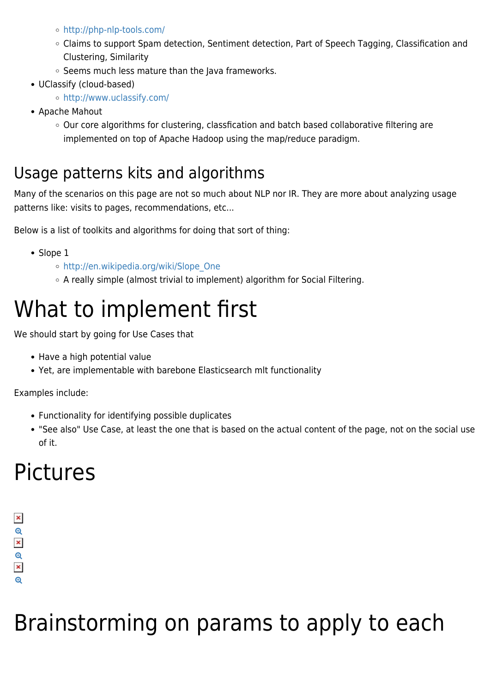- <http://php-nlp-tools.com/>
- Claims to support Spam detection, Sentiment detection, Part of Speech Tagging, Classification and Clustering, Similarity
- $\circ$  Seems much less mature than the Java frameworks.
- UClassify (cloud-based)
	- <http://www.uclassify.com/>
- Apache Mahout
	- Our core algorithms for clustering, classfication and batch based collaborative filtering are implemented on top of Apache Hadoop using the map/reduce paradigm.

#### Usage patterns kits and algorithms

Many of the scenarios on this page are not so much about NLP nor IR. They are more about analyzing usage patterns like: visits to pages, recommendations, etc...

Below is a list of toolkits and algorithms for doing that sort of thing:

- Slope 1
	- o http://en.wikipedia.org/wiki/Slope One
	- A really simple (almost trivial to implement) algorithm for Social Filtering.

## What to implement first

We should start by going for Use Cases that

- Have a high potential value
- Yet, are implementable with barebone Elasticsearch mlt functionality

Examples include:

- Functionality for identifying possible duplicates
- "See also" Use Case, at least the one that is based on the actual content of the page, not on the social use of it.

## Pictures

#### $\pmb{\times}$  $\frac{1}{x}$  $\mathbf{\Theta}$  $\pmb{\times}$  $\bigoplus$

# Brainstorming on params to apply to each